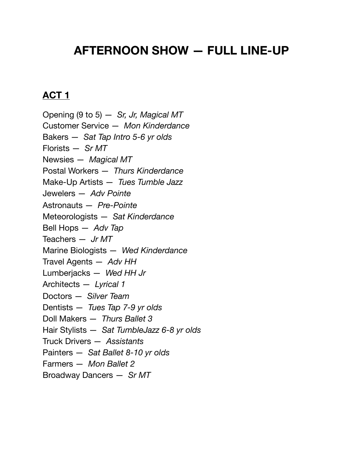## **AFTERNOON SHOW — FULL LINE-UP**

## **ACT 1**

Opening (9 to 5) — *Sr, Jr, Magical MT* Customer Service — *Mon Kinderdance* Bakers — *Sat Tap Intro 5-6 yr olds* Florists — *Sr MT* Newsies — *Magical MT* Postal Workers — *Thurs Kinderdance* Make-Up Artists — *Tues Tumble Jazz* Jewelers — *Adv Pointe* Astronauts — *Pre-Pointe* Meteorologists — *Sat Kinderdance* Bell Hops — *Adv Tap* Teachers — *Jr MT* Marine Biologists — *Wed Kinderdance* Travel Agents — *Adv HH* Lumberjacks — *Wed HH Jr* Architects — *Lyrical 1* Doctors — *Silver Team* Dentists — *Tues Tap 7-9 yr olds* Doll Makers — *Thurs Ballet 3* Hair Stylists — *Sat TumbleJazz 6-8 yr olds* Truck Drivers — *Assistants* Painters — *Sat Ballet 8-10 yr olds* Farmers — *Mon Ballet 2* Broadway Dancers — *Sr MT*